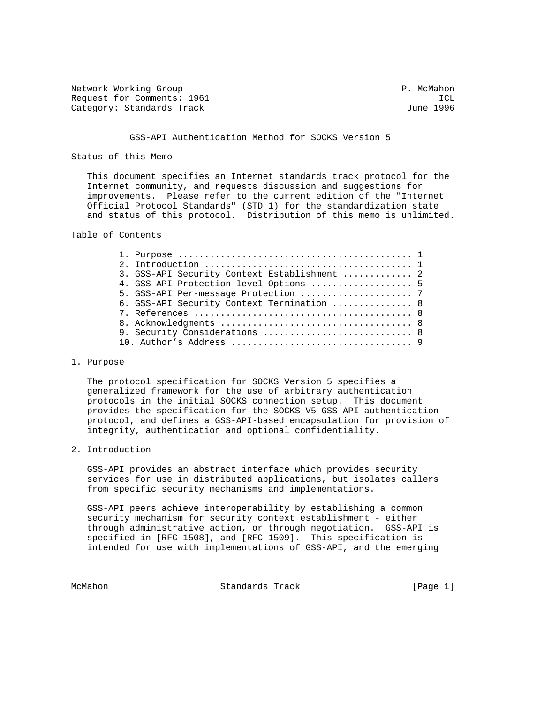Network Working Group **P. McMahon** Request for Comments: 1961 ICL Category: Standards Track

### GSS-API Authentication Method for SOCKS Version 5

Status of this Memo

 This document specifies an Internet standards track protocol for the Internet community, and requests discussion and suggestions for improvements. Please refer to the current edition of the "Internet Official Protocol Standards" (STD 1) for the standardization state and status of this protocol. Distribution of this memo is unlimited.

Table of Contents

|  | 3. GSS-API Security Context Establishment  2 |  |
|--|----------------------------------------------|--|
|  | 4. GSS-API Protection-level Options  5       |  |
|  |                                              |  |
|  | 6. GSS-API Security Context Termination  8   |  |
|  |                                              |  |
|  |                                              |  |
|  | 9. Security Considerations  8                |  |
|  |                                              |  |
|  |                                              |  |

#### 1. Purpose

 The protocol specification for SOCKS Version 5 specifies a generalized framework for the use of arbitrary authentication protocols in the initial SOCKS connection setup. This document provides the specification for the SOCKS V5 GSS-API authentication protocol, and defines a GSS-API-based encapsulation for provision of integrity, authentication and optional confidentiality.

#### 2. Introduction

 GSS-API provides an abstract interface which provides security services for use in distributed applications, but isolates callers from specific security mechanisms and implementations.

 GSS-API peers achieve interoperability by establishing a common security mechanism for security context establishment - either through administrative action, or through negotiation. GSS-API is specified in [RFC 1508], and [RFC 1509]. This specification is intended for use with implementations of GSS-API, and the emerging

McMahon Standards Track [Page 1]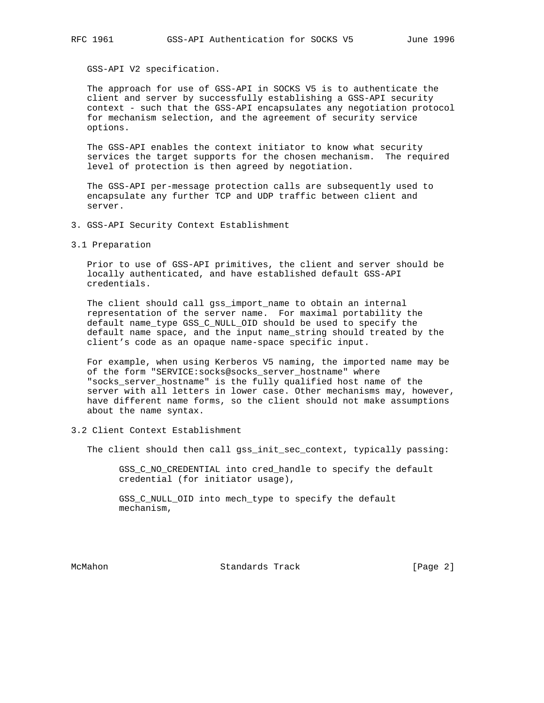GSS-API V2 specification.

 The approach for use of GSS-API in SOCKS V5 is to authenticate the client and server by successfully establishing a GSS-API security context - such that the GSS-API encapsulates any negotiation protocol for mechanism selection, and the agreement of security service options.

 The GSS-API enables the context initiator to know what security services the target supports for the chosen mechanism. The required level of protection is then agreed by negotiation.

 The GSS-API per-message protection calls are subsequently used to encapsulate any further TCP and UDP traffic between client and server.

- 3. GSS-API Security Context Establishment
- 3.1 Preparation

 Prior to use of GSS-API primitives, the client and server should be locally authenticated, and have established default GSS-API credentials.

 The client should call gss\_import\_name to obtain an internal representation of the server name. For maximal portability the default name\_type GSS\_C\_NULL\_OID should be used to specify the default name space, and the input name\_string should treated by the client's code as an opaque name-space specific input.

 For example, when using Kerberos V5 naming, the imported name may be of the form "SERVICE:socks@socks\_server\_hostname" where "socks\_server\_hostname" is the fully qualified host name of the server with all letters in lower case. Other mechanisms may, however, have different name forms, so the client should not make assumptions about the name syntax.

3.2 Client Context Establishment

The client should then call gss\_init\_sec\_context, typically passing:

 GSS\_C\_NO\_CREDENTIAL into cred\_handle to specify the default credential (for initiator usage),

 GSS\_C\_NULL\_OID into mech\_type to specify the default mechanism,

McMahon **Standards Track** [Page 2]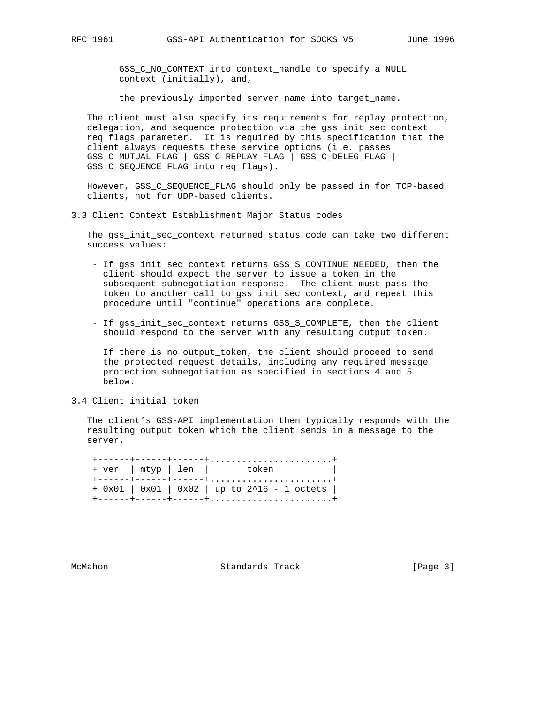GSS\_C\_NO\_CONTEXT into context\_handle to specify a NULL context (initially), and,

the previously imported server name into target\_name.

 The client must also specify its requirements for replay protection, delegation, and sequence protection via the gss\_init\_sec\_context req\_flags parameter. It is required by this specification that the client always requests these service options (i.e. passes GSS C MUTUAL FLAG | GSS C REPLAY FLAG | GSS C DELEG FLAG | GSS\_C\_SEQUENCE\_FLAG into req\_flags).

 However, GSS\_C\_SEQUENCE\_FLAG should only be passed in for TCP-based clients, not for UDP-based clients.

3.3 Client Context Establishment Major Status codes

 The gss\_init\_sec\_context returned status code can take two different success values:

- If gss\_init\_sec\_context returns GSS\_S\_CONTINUE\_NEEDED, then the client should expect the server to issue a token in the subsequent subnegotiation response. The client must pass the token to another call to gss\_init\_sec\_context, and repeat this procedure until "continue" operations are complete.
- If gss\_init\_sec\_context returns GSS\_S\_COMPLETE, then the client should respond to the server with any resulting output token.

 If there is no output\_token, the client should proceed to send the protected request details, including any required message protection subnegotiation as specified in sections 4 and 5 below.

## 3.4 Client initial token

 The client's GSS-API implementation then typically responds with the resulting output\_token which the client sends in a message to the server.

|  | + ver   mtyp   len   token                     |
|--|------------------------------------------------|
|  | $+$ 0x01   0x01   0x02   up to 2^16 - 1 octets |

McMahon Standards Track [Page 3]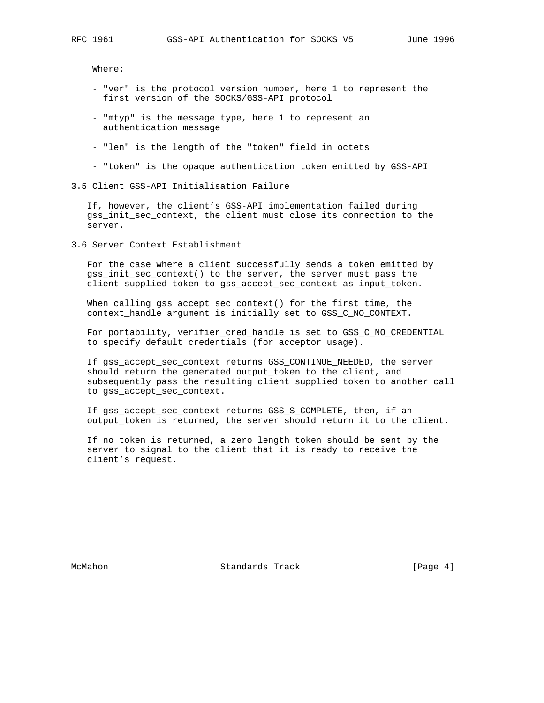Where:

- "ver" is the protocol version number, here 1 to represent the first version of the SOCKS/GSS-API protocol
- "mtyp" is the message type, here 1 to represent an authentication message
- "len" is the length of the "token" field in octets
- "token" is the opaque authentication token emitted by GSS-API
- 3.5 Client GSS-API Initialisation Failure

 If, however, the client's GSS-API implementation failed during gss\_init\_sec\_context, the client must close its connection to the server.

3.6 Server Context Establishment

 For the case where a client successfully sends a token emitted by gss\_init\_sec\_context() to the server, the server must pass the client-supplied token to gss\_accept\_sec\_context as input\_token.

 When calling gss\_accept\_sec\_context() for the first time, the context\_handle argument is initially set to GSS\_C\_NO\_CONTEXT.

 For portability, verifier\_cred\_handle is set to GSS\_C\_NO\_CREDENTIAL to specify default credentials (for acceptor usage).

 If gss\_accept\_sec\_context returns GSS\_CONTINUE\_NEEDED, the server should return the generated output\_token to the client, and subsequently pass the resulting client supplied token to another call to gss\_accept\_sec\_context.

 If gss\_accept\_sec\_context returns GSS\_S\_COMPLETE, then, if an output\_token is returned, the server should return it to the client.

 If no token is returned, a zero length token should be sent by the server to signal to the client that it is ready to receive the client's request.

McMahon Standards Track [Page 4]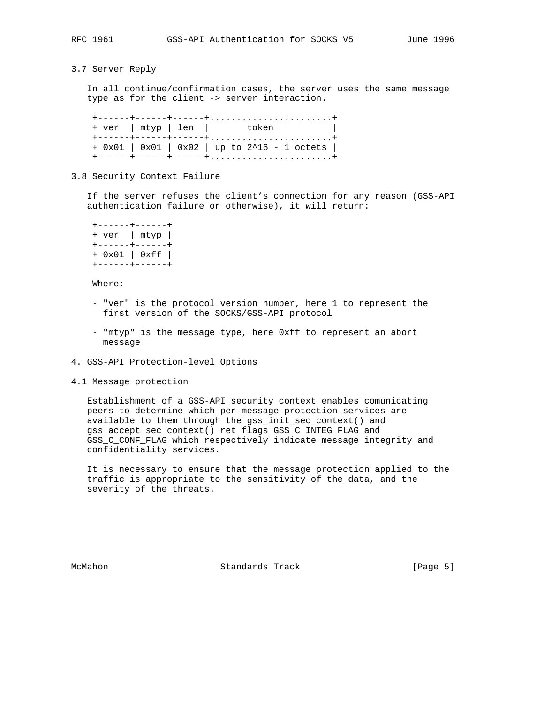3.7 Server Reply

 In all continue/confirmation cases, the server uses the same message type as for the client -> server interaction.

 +------+------+------+.......................+ + ver | mtyp | len | token | +------+------+------+.......................+ + 0x01 | 0x01 | 0x02 | up to 2^16 - 1 octets | +------+------+------+.......................+

3.8 Security Context Failure

 If the server refuses the client's connection for any reason (GSS-API authentication failure or otherwise), it will return:

 +------+------+ + ver | mtyp | +------+------+ + 0x01 | 0xff | +------+------+

Where:

- "ver" is the protocol version number, here 1 to represent the first version of the SOCKS/GSS-API protocol
- "mtyp" is the message type, here 0xff to represent an abort message
- 4. GSS-API Protection-level Options
- 4.1 Message protection

 Establishment of a GSS-API security context enables comunicating peers to determine which per-message protection services are available to them through the gss\_init\_sec\_context() and gss\_accept\_sec\_context() ret\_flags GSS\_C\_INTEG\_FLAG and GSS C\_CONF\_FLAG which respectively indicate message integrity and confidentiality services.

 It is necessary to ensure that the message protection applied to the traffic is appropriate to the sensitivity of the data, and the severity of the threats.

McMahon Standards Track [Page 5]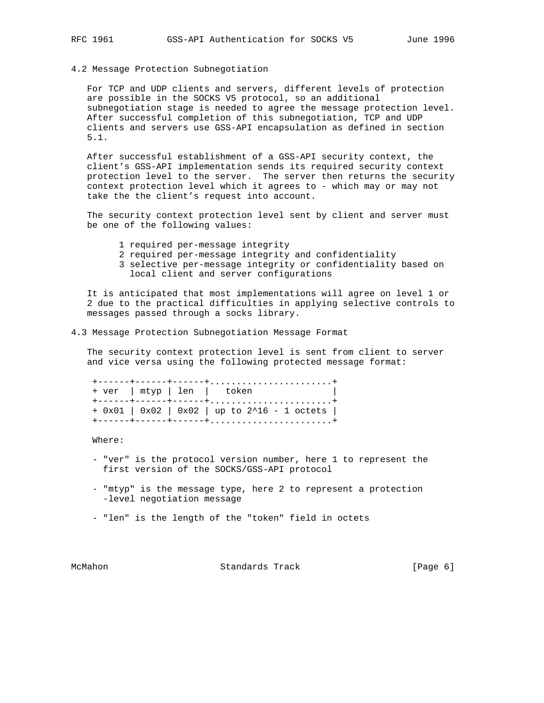### 4.2 Message Protection Subnegotiation

 For TCP and UDP clients and servers, different levels of protection are possible in the SOCKS V5 protocol, so an additional subnegotiation stage is needed to agree the message protection level. After successful completion of this subnegotiation, TCP and UDP clients and servers use GSS-API encapsulation as defined in section 5.1.

 After successful establishment of a GSS-API security context, the client's GSS-API implementation sends its required security context protection level to the server. The server then returns the security context protection level which it agrees to - which may or may not take the the client's request into account.

 The security context protection level sent by client and server must be one of the following values:

- 1 required per-message integrity
- 2 required per-message integrity and confidentiality
- 3 selective per-message integrity or confidentiality based on local client and server configurations

 It is anticipated that most implementations will agree on level 1 or 2 due to the practical difficulties in applying selective controls to messages passed through a socks library.

4.3 Message Protection Subnegotiation Message Format

 The security context protection level is sent from client to server and vice versa using the following protected message format:

 +------+------+------+.......................+ + ver | mtyp | len | token | +------+------+------+.......................+ + 0x01 | 0x02 | 0x02 | up to 2^16 - 1 octets | +------+------+------+.......................+

Where:

- "ver" is the protocol version number, here 1 to represent the first version of the SOCKS/GSS-API protocol
- "mtyp" is the message type, here 2 to represent a protection -level negotiation message
- "len" is the length of the "token" field in octets

McMahon Standards Track [Page 6]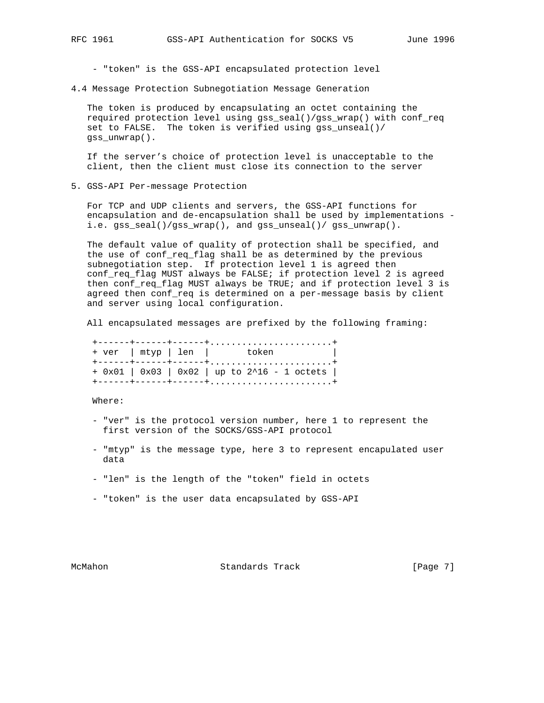- "token" is the GSS-API encapsulated protection level

4.4 Message Protection Subnegotiation Message Generation

 The token is produced by encapsulating an octet containing the required protection level using gss\_seal()/gss\_wrap() with conf\_req set to FALSE. The token is verified using gss\_unseal()/ gss\_unwrap().

 If the server's choice of protection level is unacceptable to the client, then the client must close its connection to the server

5. GSS-API Per-message Protection

 For TCP and UDP clients and servers, the GSS-API functions for encapsulation and de-encapsulation shall be used by implementations i.e. gss\_seal()/gss\_wrap(), and gss\_unseal()/ gss\_unwrap().

 The default value of quality of protection shall be specified, and the use of conf\_req\_flag shall be as determined by the previous subnegotiation step. If protection level 1 is agreed then conf\_req\_flag MUST always be FALSE; if protection level 2 is agreed then conf\_req\_flag MUST always be TRUE; and if protection level 3 is agreed then conf\_req is determined on a per-message basis by client and server using local configuration.

All encapsulated messages are prefixed by the following framing:

|  | + ver   mtyp   len   token                     |
|--|------------------------------------------------|
|  | $+$ 0x01   0x03   0x02   up to 2^16 - 1 octets |

Where:

- "ver" is the protocol version number, here 1 to represent the first version of the SOCKS/GSS-API protocol
- "mtyp" is the message type, here 3 to represent encapulated user data
- "len" is the length of the "token" field in octets
- "token" is the user data encapsulated by GSS-API

McMahon Standards Track [Page 7]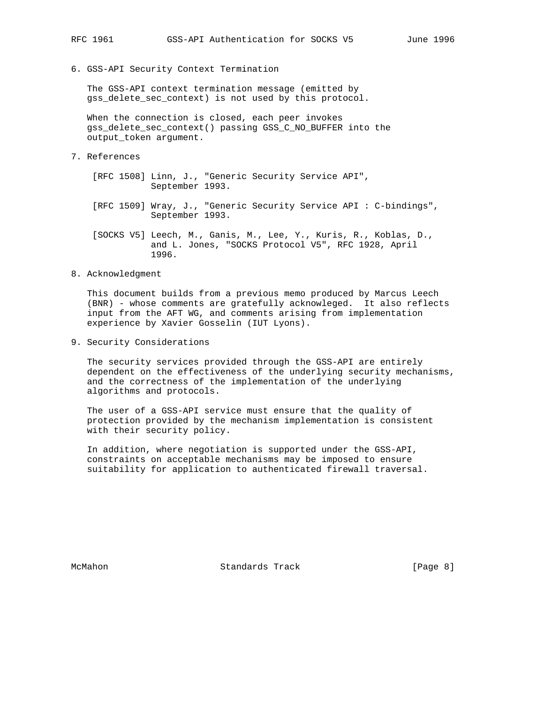6. GSS-API Security Context Termination

 The GSS-API context termination message (emitted by gss delete sec context) is not used by this protocol.

 When the connection is closed, each peer invokes gss\_delete\_sec\_context() passing GSS\_C\_NO\_BUFFER into the output\_token argument.

7. References

 [RFC 1508] Linn, J., "Generic Security Service API", September 1993.

 [RFC 1509] Wray, J., "Generic Security Service API : C-bindings", September 1993.

 [SOCKS V5] Leech, M., Ganis, M., Lee, Y., Kuris, R., Koblas, D., and L. Jones, "SOCKS Protocol V5", RFC 1928, April 1996.

8. Acknowledgment

 This document builds from a previous memo produced by Marcus Leech (BNR) - whose comments are gratefully acknowleged. It also reflects input from the AFT WG, and comments arising from implementation experience by Xavier Gosselin (IUT Lyons).

9. Security Considerations

 The security services provided through the GSS-API are entirely dependent on the effectiveness of the underlying security mechanisms, and the correctness of the implementation of the underlying algorithms and protocols.

 The user of a GSS-API service must ensure that the quality of protection provided by the mechanism implementation is consistent with their security policy.

 In addition, where negotiation is supported under the GSS-API, constraints on acceptable mechanisms may be imposed to ensure suitability for application to authenticated firewall traversal.

McMahon Standards Track [Page 8]